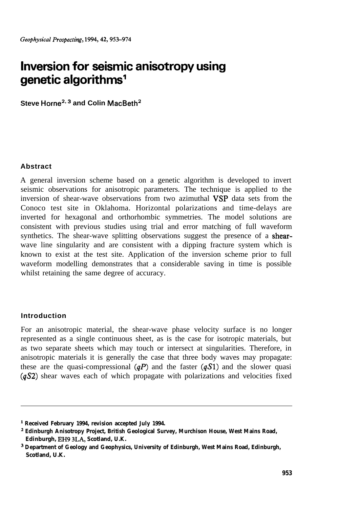# **Inversion for seismic anisotropy using genetic algorithms1**

**Steve Horne2\* <sup>3</sup> and Colin MacBeth2**

## **Abstract**

A general inversion scheme based on a genetic algorithm is developed to invert seismic observations for anisotropic parameters. The technique is applied to the inversion of shear-wave observations from two azimuthal  $VSP$  data sets from the Conoco test site in Oklahoma. Horizontal polarizations and time-delays are inverted for hexagonal and orthorhombic symmetries. The model solutions are consistent with previous studies using trial and error matching of full waveform synthetics. The shear-wave splitting observations suggest the presence of a **shear**wave line singularity and are consistent with a dipping fracture system which is known to exist at the test site. Application of the inversion scheme prior to full waveform modelling demonstrates that a considerable saving in time is possible whilst retaining the same degree of accuracy.

## **Introduction**

For an anisotropic material, the shear-wave phase velocity surface is no longer represented as a single continuous sheet, as is the case for isotropic materials, but as two separate sheets which may touch or intersect at singularities. Therefore, in anisotropic materials it is generally the case that three body waves may propagate: these are the quasi-compressional  $(qP)$  and the faster  $(qS1)$  and the slower quasi  $(qS2)$  shear waves each of which propagate with polarizations and velocities fixed

**<sup>&#</sup>x27; Received February 1994, revision accepted July 1994.**

**<sup>2</sup> Edinburgh Anisotropy Project, British Geological Survey, Murchison House, West Mains Road, Edinburgh, EH9 3LA, Scotland, U.K.**

**<sup>3</sup> Department of Geology and Geophysics, University of Edinburgh, West Mains Road, Edinburgh, Scotland, U.K.**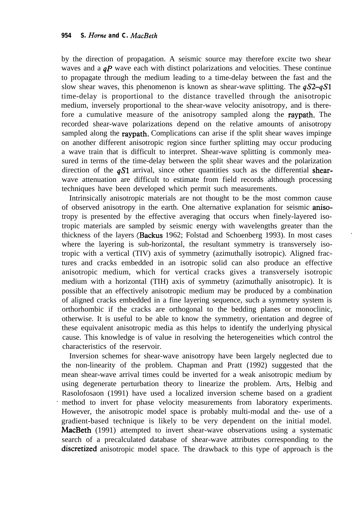by the direction of propagation. A seismic source may therefore excite two shear waves and a  $qP$  wave each with distinct polarizations and velocities. These continue to propagate through the medium leading to a time-delay between the fast and the slow shear waves, this phenomenon is known as shear-wave splitting. The  $qS2-qS1$ time-delay is proportional to the distance travelled through the anisotropic medium, inversely proportional to the shear-wave velocity anisotropy, and is therefore a cumulative measure of the anisotropy sampled along the raypath. The recorded shear-wave polarizations depend on the relative amounts of anisotropy sampled along the raypath. Complications can arise if the split shear waves impinge on another different anisotropic region since further splitting may occur producing a wave train that is difficult to interpret. Shear-wave splitting is commonly measured in terms of the time-delay between the split shear waves and the polarization direction of the  $qS1$  arrival, since other quantities such as the differential shearwave attenuation are difficult to estimate from field records although processing techniques have been developed which permit such measurements.

Intrinsically anisotropic materials are not thought to be the most common cause of observed anisotropy in the earth. One alternative explanation for seismic anisotropy is presented by the effective averaging that occurs when finely-layered isotropic materials are sampled by seismic energy with wavelengths greater than the thickness of the layers (Backus 1962; Folstad and Schoenberg 1993). In most cases where the layering is sub-horizontal, the resultant symmetry is transversely isotropic with a vertical (TIV) axis of symmetry (azimuthally isotropic). Aligned fractures and cracks embedded in an isotropic solid can also produce an effective anisotropic medium, which for vertical cracks gives a transversely isotropic medium with a horizontal (TIH) axis of symmetry (azimuthally anisotropic). It is possible that an effectively anisotropic medium may be produced by a combination of aligned cracks embedded in a fine layering sequence, such a symmetry system is orthorhombic if the cracks are orthogonal to the bedding planes or monoclinic, otherwise. It is useful to be able to know the symmetry, orientation and degree of these equivalent anisotropic media as this helps to identify the underlying physical cause. This knowledge is of value in resolving the heterogeneities which control the characteristics of the reservoir.

Inversion schemes for shear-wave anisotropy have been largely neglected due to the non-linearity of the problem. Chapman and Pratt (1992) suggested that the mean shear-wave arrival times could be inverted for a weak anisotropic medium by using degenerate perturbation theory to linearize the problem. Arts, Helbig and Rasolofosaon (1991) have used a localized inversion scheme based on a gradient method to invert for phase velocity measurements from laboratory experiments. However, the anisotropic model space is probably multi-modal and the- use of a gradient-based technique is likely to be very dependent on the initial model. MacBeth (1991) attempted to invert shear-wave observations using a systematic search of a precalculated database of shear-wave attributes corresponding to the discretized anisotropic model space. The drawback to this type of approach is the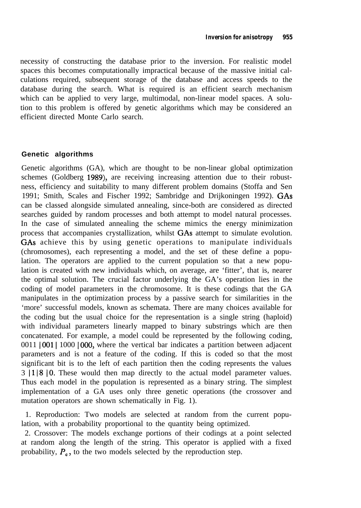necessity of constructing the database prior to the inversion. For realistic model spaces this becomes computationally impractical because of the massive initial calculations required, subsequent storage of the database and access speeds to the database during the search. What is required is an efficient search mechanism which can be applied to very large, multimodal, non-linear model spaces. A solution to this problem is offered by genetic algorithms which may be considered an efficient directed Monte Carlo search.

#### **Genetic algorithms**

Genetic algorithms (GA), which are thought to be non-linear global optimization schemes (Goldberg 1989), are receiving increasing attention due to their robustness, efficiency and suitability to many different problem domains (Stoffa and Sen 1991; Smith, Scales and Fischer 1992; Sambridge and Drijkoningen 1992). GAS can be classed alongside simulated annealing, since-both are considered as directed searches guided by random processes and both attempt to model natural processes. In the case of simulated annealing the scheme mimics the energy minimization process that accompanies crystallization, whilst GAS attempt to simulate evolution. GAs achieve this by using genetic operations to manipulate individuals (chromosomes), each representing a model, and the set of these define a population. The operators are applied to the current population so that a new population is created with new individuals which, on average, are 'fitter', that is, nearer the optimal solution. The crucial factor underlying the GA's operation lies in the coding of model parameters in the chromosome. It is these codings that the GA manipulates in the optimization process by a passive search for similarities in the 'more' successful models, known as schemata. There are many choices available for the coding but the usual choice for the representation is a single string (haploid) with individual parameters linearly mapped to binary substrings which are then concatenated. For example, a model could be represented by the following coding, 0011 | 001 | 1000 | 000, where the vertical bar indicates a partition between adjacent parameters and is not a feature of the coding. If this is coded so that the most significant bit is to the left of each partition then the coding represents the values 3 1118 IO. These would then map directly to the actual model parameter values. Thus each model in the population is represented as a binary string. The simplest implementation of a GA uses only three genetic operations (the crossover and mutation operators are shown schematically in Fig. 1).

1. Reproduction: Two models are selected at random from the current population, with a probability proportional to the quantity being optimized.

2. Crossover: The models exchange portions of their codings at a point selected at random along the length of the string. This operator is applied with a fixed probability,  $P_c$ , to the two models selected by the reproduction step.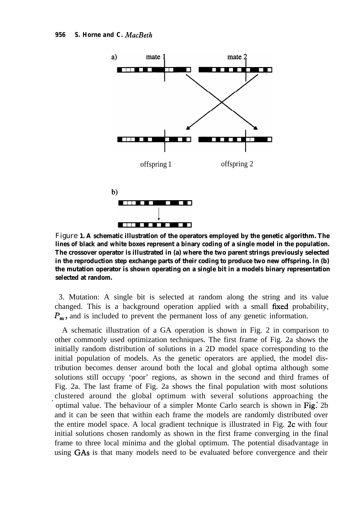

Figure **1. A schematic illustration of the operators employed by the genetic algorithm. The lines of black and white boxes represent a binary coding of a single model in the population. The crossover operator is illustrated in (a) where the two parent strings previously selected in the reproduction step exchange parts of their coding to produce two new offspring. In (b) the mutation operator is shown operating on a single bit in a models binary representation selected at random.**

3. Mutation: A single bit is selected at random along the string and its value changed. This is a background operation applied with a small fixed probability,  $P_{\rm m}$ , and is included to prevent the permanent loss of any genetic information.

A schematic illustration of a GA operation is shown in Fig. 2 in comparison to other commonly used optimization techniques. The first frame of Fig. 2a shows the initially random distribution of solutions in a 2D model space corresponding to the initial population of models. As the genetic operators are applied, the model distribution becomes denser around both the local and global optima although some solutions still occupy 'poor' regions, as shown in the second and third frames of Fig. 2a. The last frame of Fig. 2a shows the final population with most solutions clustered around the global optimum with several solutions approaching the ' optimal value. The behaviour of a simpler Monte Carlo search is shown in Fig: 2b and it can be seen that within each frame the models are randomly distributed over the entire model space. A local gradient technique is illustrated in Fig. 2c with four initial solutions chosen randomly as shown in the first frame converging in the final frame to three local minima and the global optimum. The potential disadvantage in using GAS is that many models need to be evaluated before convergence and their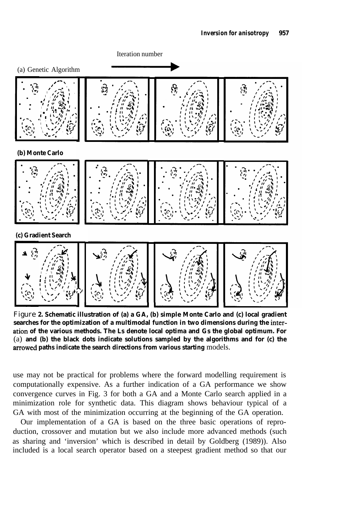

Figure **2. Schematic illustration of (a) a GA, (b) simple Monte Carlo and (c) local gradient searches for the optimization of a multimodal function in two dimensions during the interation of the various methods. The Ls denote local optima and Gs the global optimum. For** (a) **and (b) the black dots indicate solutions sampled by the algorithms and for (c) the arrowed paths indicate the search directions from various starting** models.

use may not be practical for problems where the forward modelling requirement is computationally expensive. As a further indication of a GA performance we show convergence curves in Fig. 3 for both a GA and a Monte Carlo search applied in a minimization role for synthetic data. This diagram shows behaviour typical of a GA with most of the minimization occurring at the beginning of the GA operation.

Our implementation of a GA is based on the three basic operations of reproduction, crossover and mutation but we also include more advanced methods (such as sharing and 'inversion' which is described in detail by Goldberg (1989)). Also included is a local search operator based on a steepest gradient method so that our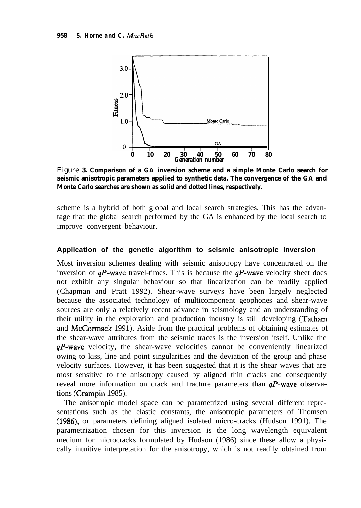

Figure **3. Comparison of a GA inversion scheme and a simple Monte Carlo search for seismic anisotropic parameters applied to synthetic data. The convergence of the GA and Monte Carlo searches are shown as solid and dotted lines, respectively.**

scheme is a hybrid of both global and local search strategies. This has the advantage that the global search performed by the GA is enhanced by the local search to improve convergent behaviour.

#### **Application of the genetic algorithm to seismic anisotropic inversion**

Most inversion schemes dealing with seismic anisotropy have concentrated on the inversion of  $qP$ -wave travel-times. This is because the  $qP$ -wave velocity sheet does not exhibit any singular behaviour so that linearization can be readily applied (Chapman and Pratt 1992). Shear-wave surveys have been largely neglected because the associated technology of multicomponent geophones and shear-wave sources are only a relatively recent advance in seismology and an understanding of their utility in the exploration and production industry is still developing (Tatham and McCormack 1991). Aside from the practical problems of obtaining estimates of the shear-wave attributes from the seismic traces is the inversion itself. Unlike the  $qP$ -wave velocity, the shear-wave velocities cannot be conveniently linearized owing to kiss, line and point singularities and the deviation of the group and phase velocity surfaces. However, it has been suggested that it is the shear waves that are most sensitive to the anisotropy caused by aligned thin cracks and consequently reveal more information on crack and fracture parameters than  $qP$ -wave observations (Crampin 1985).

. The anisotropic model space can be parametrized using several different representations such as the elastic constants, the anisotropic parameters of Thomsen (1986), or parameters defining aligned isolated micro-cracks (Hudson 1991). The parametrization chosen for this inversion is the long wavelength equivalent medium for microcracks formulated by Hudson (1986) since these allow a physically intuitive interpretation for the anisotropy, which is not readily obtained from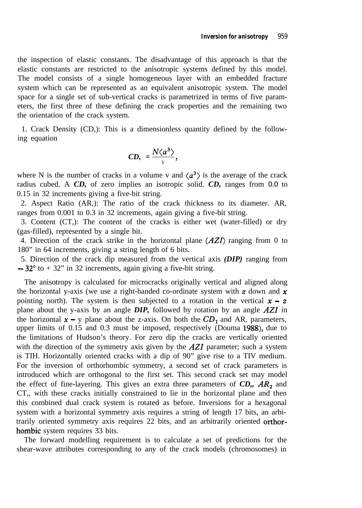the inspection of elastic constants. The disadvantage of this approach is that the elastic constants are restricted to the anisotropic systems defined by this model. The model consists of a single homogeneous layer with an embedded fracture system which can be represented as an equivalent anisotropic system. The model space for a single set of sub-vertical cracks is parametrized in terms of five parameters, the first three of these defining the crack properties and the remaining two the orientation of the crack system.

1. Crack Density (CD,): This is a dimensionless quantity defined by the following equation

$$
CD, = \frac{N\langle a^3 \rangle}{v},
$$

where N is the number of cracks in a volume v and  $\langle a^3 \rangle$  is the average of the crack radius cubed. A *CD,* of zero implies an isotropic solid. *CD,* ranges from 0.0 to 0.15 in 32 increments giving a five-bit string.

2. Aspect Ratio (AR,): The ratio of the crack thickness to its diameter. AR, ranges from 0.001 to 0.3 in 32 increments, again giving a five-bit string.

3. Content (CT,): The content of the cracks is either wet (water-filled) or dry (gas-filled), represented by a single bit.

4. Direction of the crack strike in the horizontal plane  $(AZI)$  ranging from 0 to 180" in 64 increments, giving a string length of 6 bits.

5. Direction of the crack dip measured from the vertical axis *(DIP)* ranging from  $-32^{\circ}$  to  $+32^{\circ}$  in 32 increments, again giving a five-bit string.

The anisotropy is calculated for microcracks originally vertical and aligned along the horizontal y-axis (we use a right-handed co-ordinate system with z down and  $\mathbf x$ pointing north). The system is then subjected to a rotation in the vertical  $x - z$ plane about the y-axis by an angle *DIP,* followed by rotation by an angle AZ1 in the horizontal  $x - y$  plane about the z-axis. On both the  $CD_1$  and AR, parameters, upper limits of 0.15 and 0.3 must be imposed, respectively (Douma 1988), due to the limitations of Hudson's theory. For zero dip the cracks are vertically oriented with the direction of the symmetry axis given by the  $AZI$  parameter; such a system is TIH. Horizontally oriented cracks with a dip of 90" give rise to a TIV medium. For the inversion of orthorhombic symmetry, a second set of crack parameters is introduced which are orthogonal to the first set. This second crack set may model the effect of fine-layering. This gives an extra three parameters of  $CD$ ,  $AR_2$  and CT,, with these cracks initially constrained to lie in the horizontal plane and then this combined dual crack system is rotated as before. Inversions for a hexagonal system with a horizontal symmetry axis requires a string of length 17 bits, an arbitrarily oriented symmetry axis requires 22 bits, and an arbitrarily oriented orthorhombic system requires 33 bits.

The forward modelling requirement is to calculate a set of predictions for the shear-wave attributes corresponding to any of the crack models (chromosomes) in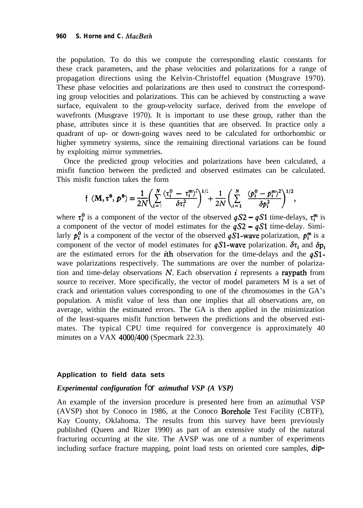the population. To do this we compute the corresponding elastic constants for these crack parameters, and the phase velocities and polarizations for a range of propagation directions using the Kelvin-Christoffel equation (Musgrave 1970). These phase velocities and polarizations are then used to construct the corresponding group velocities and polarizations. This can be achieved by constructing a wave surface, equivalent to the group-velocity surface, derived from the envelope of wavefronts (Musgrave 1970). It is important to use these group, rather than the phase, attributes since it is these quantities that are observed. In practice only a quadrant of up- or down-going waves need to be calculated for orthorhombic or higher symmetry systems, since the remaining directional variations can be found by exploiting mirror symmetries.

Once the predicted group velocities and polarizations have been calculated, a misfit function between the predicted and observed estimates can be calculated. This misfit function takes the form

$$
\mathbf{f}(\mathbf{M}, \tau^0, \mathbf{p}^0) = \frac{1}{2N} \bigg( \sum_{i=1}^N \frac{(\tau_i^0 - \tau_i^m)^2}{\delta \tau_i^2} \bigg)^{1/2} + \frac{1}{2N} \bigg( \sum_{i=1}^N \frac{(\mathbf{p}_i^0 - \mathbf{p}_i^m)^2}{\delta \mathbf{p}_i^2} \bigg)^{1/2},
$$

where  $\tau_i^0$  is a component of the vector of the observed  $qS2 - qS1$  time-delays,  $\tau_i^m$  is a component of the vector of model estimates for the  $qS2 - qS1$  time-delay. Similarly  $p_i^0$  is a component of the vector of the observed  $qS1$ -wave polarization,  $p_i^m$  is a component of the vector of model estimates for  $qS1$ -wave polarization.  $\delta\tau_i$  and  $\delta p_i$ are the estimated errors for the *i*th observation for the time-delays and the  $qS1$ wave polarizations respectively. The summations are over the number of polarization and time-delay observations  $N$ . Each observation i represents a raypath from source to receiver. More specifically, the vector of model parameters M is a set of crack and orientation values corresponding to one of the chromosomes in the GA's population. A misfit value of less than one implies that all observations are, on average, within the estimated errors. The GA is then applied in the minimization of the least-squares misfit function between the predictions and the observed estimates. The typical CPU time required for convergence is approximately 40 minutes on a VAX 4000/400 (Specmark 22.3).

#### **Application to field data sets**

#### *Experimental configuration for azimuthal VSP (A VSP)*

An example of the inversion procedure is presented here from an azimuthal VSP (AVSP) shot by Conoco in 1986, at the Conoco Borehole Test Facility (CBTF), Kay County, Oklahoma. The results from this survey have been previously published (Queen and Rizer 1990) as part of an extensive study of the natural fracturing occurring at the site. The AVSP was one of a number of experiments including surface fracture mapping, point load tests on oriented core samples, dip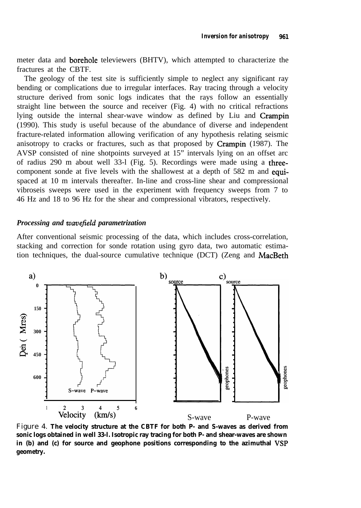meter data and borehole televiewers (BHTV), which attempted to characterize the fractures at the CBTF.

The geology of the test site is sufficiently simple to neglect any significant ray bending or complications due to irregular interfaces. Ray tracing through a velocity structure derived from sonic logs indicates that the rays follow an essentially straight line between the source and receiver (Fig. 4) with no critical refractions lying outside the internal shear-wave window as defined by Liu and Crampin (1990). This study is useful because of the abundance of diverse and independent fracture-related information allowing verification of any hypothesis relating seismic anisotropy to cracks or fractures, such as that proposed by Crampin (1987). The AVSP consisted of nine shotpoints surveyed at 15" intervals lying on an offset arc of radius 290 m about well 33-l (Fig. 5). Recordings were made using a threecomponent sonde at five levels with the shallowest at a depth of 582 m and equispaced at 10 m intervals thereafter. In-line and cross-line shear and compressional vibroseis sweeps were used in the experiment with frequency sweeps from 7 to 46 Hz and 18 to 96 Hz for the shear and compressional vibrators, respectively.

## *Processing and wavefield parametrization*

After conventional seismic processing of the data, which includes cross-correlation, stacking and correction for sonde rotation using gyro data, two automatic estimation techniques, the dual-source cumulative technique (DCT) (Zeng and MacBeth



Figure 4. **The velocity structure at the CBTF for both P- and S-waves as derived from sonic logs obtained in well 33-l. Isotropic ray tracing for both P- and shear-waves are shown** in (b) and (c) for source and geophone positions corresponding to the azimuthal VSP **geometry.**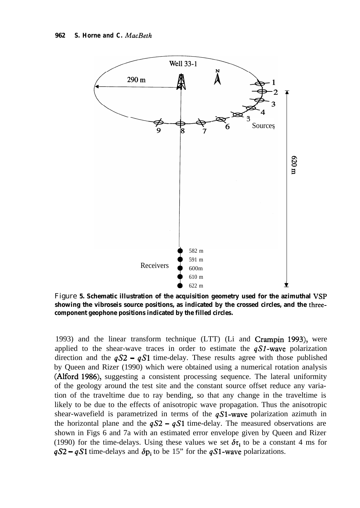

Figure 5. Schematic illustration of the acquisition geometry used for the azimuthal VSP **showing the vibroseis source positions, as indicated by the crossed circles, and the threecomponent geophone positions indicated by the filled circles.**

1993) and the linear transform technique (LTT) (Li and Crampin 1993), were applied to the shear-wave traces in order to estimate the  $qS1$ -wave polarization direction and the  $qS2 - qS1$  time-delay. These results agree with those published by Queen and Rizer (1990) which were obtained using a numerical rotation analysis (Alford 1986), suggesting a consistent processing sequence. The lateral uniformity of the geology around the test site and the constant source offset reduce any variation of the traveltime due to ray bending, so that any change in the traveltime is likely to be due to the effects of anisotropic wave propagation. Thus the anisotropic shear-wavefield is parametrized in terms of the  $qS1$ -wave polarization azimuth in the horizontal plane and the  $qS2 - qS1$  time-delay. The measured observations are shown in Figs 6 and 7a with an estimated error envelope given by Queen and Rizer (1990) for the time-delays. Using these values we set  $\delta\tau_i$  to be a constant 4 ms for  $qS2 - qS1$  time-delays and  $\delta p_i$  to be 15" for the  $qS1$ -wave polarizations.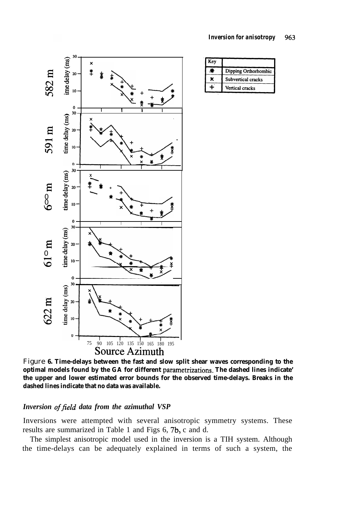

| Key |                      |
|-----|----------------------|
|     | Dipping Orthorhombic |
|     | Subvertical cracks   |
|     | Vertical cracks      |

Figure **6. Time-delays between the fast and slow split shear waves corresponding to the optimal models found by the GA for different parametrizations. The dashed lines indicate' the upper and lower estimated error bounds for the observed time-delays. Breaks in the dashed lines indicate that no data was available.**

## Inversion of field data from the azimuthal VSP

Inversions were attempted with several anisotropic symmetry systems. These results are summarized in Table 1 and Figs 6, 7b, c and d.

The simplest anisotropic model used in the inversion is a TIH system. Although the time-delays can be adequately explained in terms of such a system, the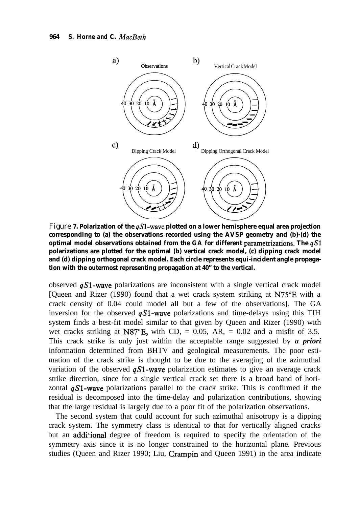

Figure **7. Polarization of the**  $qS1$ **-wave plotted on a lower hemisphere equal area projection corresponding to (a) the observations recorded using the AVSP geometry and (b)-(d) the optimal model observations obtained from the GA for different parametrizations. The qS1 polarizations are plotted for the optimal (b) vertical crack model, (c) dipping crack model and (d) dipping orthogonal crack model. Each circle represents equi-incident angle propagation with the outermost representing propagation at 40" to the vertical.**

observed  $qS1$ -wave polarizations are inconsistent with a single vertical crack model [Queen and Rizer (1990) found that a wet crack system striking at N75"E with a crack density of 0.04 could model all but a few of the observations]. The GA inversion for the observed  $qS1$ -wave polarizations and time-delays using this TIH system finds a best-fit model similar to that given by Queen and Rizer (1990) with wet cracks striking at N87 $^{\circ}$ E, with CD, = 0.05, AR, = 0.02 and a misfit of 3.5. This crack strike is only just within the acceptable range suggested by *a priori* information determined from BHTV and geological measurements. The poor estimation of the crack strike is thought to be due to the averaging of the azimuthal variation of the observed  $qS1$ -wave polarization estimates to give an average crack strike direction, since for a single vertical crack set there is a broad band of horizontal  $qS1$ -wave polarizations parallel to the crack strike. This is confirmed if the residual is decomposed into the time-delay and polarization contributions, showing that the large residual is largely due to a poor fit of the polarization observations.

The second system that could account for such azimuthal anisotropy is a dipping crack system. The symmetry class is identical to that for vertically aligned cracks but an addi'ional degree of freedom is required to specify the orientation of the symmetry axis since it is no longer constrained to the horizontal plane. Previous studies (Queen and Rizer 1990; Liu, Crampin and Queen 1991) in the area indicate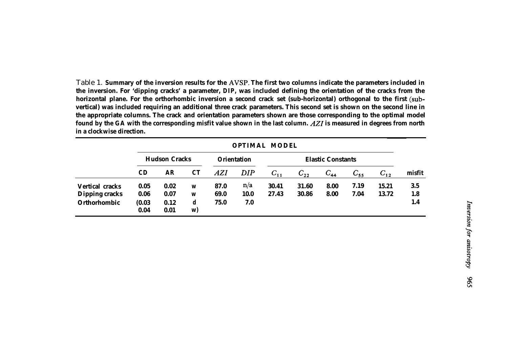Table 1. **Summary of the inversion results for the AVSI?. The first two columns indicate the parameters included in the inversion. For 'dipping cracks' a parameter,** *DIP,* **was included defining the orientation of the cracks from the horizontal plane. For the orthorhombic inversion a second crack set (sub-horizontal) orthogonal to the first (subvertical) was included requiring an additional three crack parameters. This second set is shown on the second line in the appropriate columns. The crack and orientation parameters shown are those corresponding to the optimal model found by the GA with the corresponding misfit value shown in the last column. AZ1 is measured in degrees from north in a clockwise direction.**

|                        | <b>OPTIMAL MODEL</b> |              |         |                    |             |                          |          |          |          |          |        |
|------------------------|----------------------|--------------|---------|--------------------|-------------|--------------------------|----------|----------|----------|----------|--------|
|                        | <b>Hudson Cracks</b> |              |         | <b>Orientation</b> |             | <b>Elastic Constants</b> |          |          |          |          |        |
|                        | CD                   | <b>AR</b>    | CT      | AZI                | <b>DIP</b>  | $C_{11}$                 | $C_{22}$ | $C_{44}$ | $C_{55}$ | $C_{12}$ | misfit |
| <b>Vertical cracks</b> | 0.05                 | 0.02         | W       | 87.0               | n/a         | 30.41                    | 31.60    | 8.00     | 7.19     | 15.21    | 3.5    |
| <b>Dipping cracks</b>  | 0.06                 | 0.07         | W       | 69.0               | <b>10.0</b> | 27.43                    | 30.86    | 8.00     | 7.04     | 13.72    | 1.8    |
| Orthorhombic           | (0.03)<br>0.04       | 0.12<br>0.01 | d<br>W) | 75.0               | 7.0         |                          |          |          |          |          | 1.4    |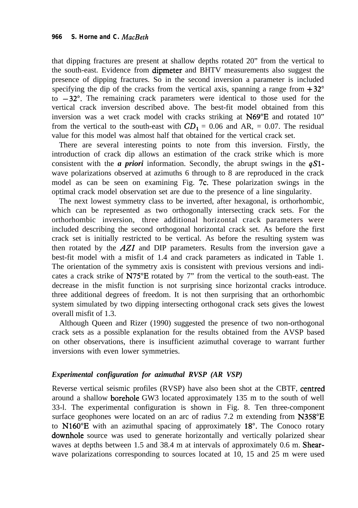that dipping fractures are present at shallow depths rotated 20" from the vertical to the south-east. Evidence from dipmeter and BHTV measurements also suggest the presence of dipping fractures. So in the second inversion a parameter is included specifying the dip of the cracks from the vertical axis, spanning a range from  $+32^{\circ}$ to  $-32^\circ$ . The remaining crack parameters were identical to those used for the vertical crack inversion described above. The best-fit model obtained from this inversion was a wet crack model with cracks striking at N69"E and rotated 10" from the vertical to the south-east with  $CD_1 = 0.06$  and AR, = 0.07. The residual value for this model was almost half that obtained for the vertical crack set.

There are several interesting points to note from this inversion. Firstly, the introduction of crack dip allows an estimation of the crack strike which is more consistent with the *a priori* information. Secondly, the abrupt swings in the qSlwave polarizations observed at azimuths 6 through to 8 are reproduced in the crack model as can be seen on examining Fig. 7c. These polarization swings in the optimal crack model observation set are due to the presence of a line singularity.

The next lowest symmetry class to be inverted, after hexagonal, is orthorhombic, which can be represented as two orthogonally intersecting crack sets. For the orthorhombic inversion, three additional horizontal crack parameters were included describing the second orthogonal horizontal crack set. As before the first crack set is initially restricted to be vertical. As before the resulting system was then rotated by the  $AZI$  and DIP parameters. Results from the inversion gave a best-fit model with a misfit of 1.4 and crack parameters as indicated in Table 1. The orientation of the symmetry axis is consistent with previous versions and indicates a crack strike of N75"E rotated by 7" from the vertical to the south-east. The decrease in the misfit function is not surprising since horizontal cracks introduce. three additional degrees of freedom. It is not then surprising that an orthorhombic system simulated by two dipping intersecting orthogonal crack sets gives the lowest overall misfit of 1.3.

Although Queen and Rizer (1990) suggested the presence of two non-orthogonal crack sets as a possible explanation for the results obtained from the AVSP based on other observations, there is insufficient azimuthal coverage to warrant further inversions with even lower symmetries.

## *Experimental configuration for azimuthal RVSP (AR VSP)*

Reverse vertical seismic profiles (RVSP) have also been shot at the CBTF, centred around a shallow borehole GW3 located approximately 135 m to the south of well 33-l. The experimental configuration is shown in Fig. 8. Ten three-component surface geophones were located on an arc of radius 7.2 m extending from N358°E to N160"E with an azimuthal spacing of approximately 18'. The Conoco rotary downhole source was used to generate horizontally and vertically polarized shear waves at depths between 1.5 and 38.4 m at intervals of approximately 0.6 m. **Shear**wave polarizations corresponding to sources located at 10, 15 and 25 m were used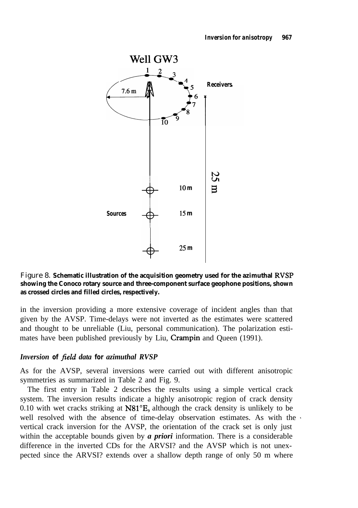

## Figure 8. **Schematic illustration of the acquisition geometry used for the azimuthal RVSP showing the Conoco rotary source and three-component surface geophone positions, shown as crossed circles and filled circles, respectively.**

in the inversion providing a more extensive coverage of incident angles than that given by the AVSP. Time-delays were not inverted as the estimates were scattered and thought to be unreliable (Liu, personal communication). The polarization estimates have been published previously by Liu, Crampin and Queen (1991).

## *Inversion of field data for azimuthal RVSP*

As for the AVSP, several inversions were carried out with different anisotropic symmetries as summarized in Table 2 and Fig. 9.

The first entry in Table 2 describes the results using a simple vertical crack system. The inversion results indicate a highly anisotropic region of crack density 0.10 with wet cracks striking at NSl"E, although the crack density is unlikely to be well resolved with the absence of time-delay observation estimates. As with the vertical crack inversion for the AVSP, the orientation of the crack set is only just within the acceptable bounds given by *a priori* information. There is a considerable difference in the inverted CDs for the ARVSI? and the AVSP which is not unexpected since the ARVSI? extends over a shallow depth range of only 50 m where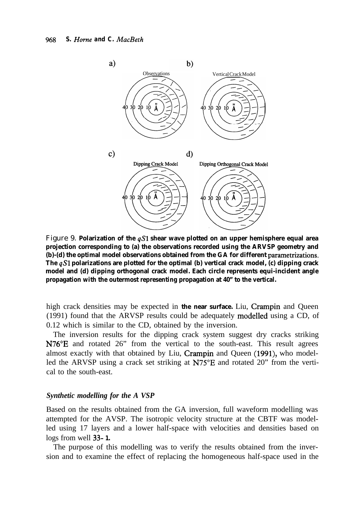

Figure 9. **Polarization of the qS1 shear wave plotted on an upper hemisphere equal area projection corresponding to (a) the observations recorded using the ARVSP geometry and (b)-(d) the optimal model observations obtained from the GA for different parametrizations. The qS1 polarizations are plotted for the optimal (b) vertical crack model, (c) dipping crack model and (d) dipping orthogonal crack model. Each circle represents equi-incident angle propagation with the outermost representing propagation at 40" to the vertical.**

high crack densities may be expected in **the near surface.** Liu, Crampin and Queen (1991) found that the ARVSP results could be adequately modelled using a CD, of 0.12 which is similar to the CD, obtained by the inversion.

The inversion results for the dipping crack system suggest dry cracks striking N76'E and rotated 26" from the vertical to the south-east. This result agrees almost exactly with that obtained by Liu, Crampin and Queen (1991), who modelled the ARVSP using a crack set striking at N75°E and rotated 20" from the vertical to the south-east.

## *Synthetic modelling for the A VSP*

Based on the results obtained from the GA inversion, full waveform modelling was attempted for the AVSP. The isotropic velocity structure at the CBTF was modelled using 17 layers and a lower half-space with velocities and densities based on logs from well 33- **1.**

The purpose of this modelling was to verify the results obtained from the inversion and to examine the effect of replacing the homogeneous half-space used in the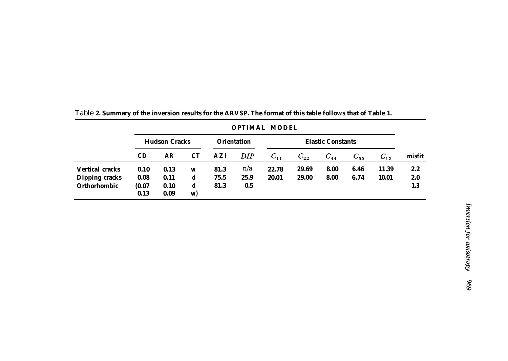|                        |                      |                                |         |                    |            | <b>OPTIMAL MODEL</b> |          |          |          |          |            |
|------------------------|----------------------|--------------------------------|---------|--------------------|------------|----------------------|----------|----------|----------|----------|------------|
|                        | <b>Hudson Cracks</b> |                                |         | <b>Orientation</b> |            |                      |          |          |          |          |            |
|                        | CD                   | $\boldsymbol{A}\boldsymbol{R}$ | CT      | A Z I              | <b>DIP</b> | $C_{11}$             | $C_{22}$ | $C_{44}$ | $C_{55}$ | $C_{12}$ | misfit     |
| <b>Vertical cracks</b> | 0.10                 | 0.13                           | W       | 81.3               | n/a        | 22.78                | 29.69    | 8.00     | 6.46     | 11.39    | 2.2        |
| <b>Dipping cracks</b>  | 0.08                 | 0.11                           | d       | 75.5               | 25.9       | 20.01                | 29.00    | 8.00     | 6.74     | 10.01    | <b>2.0</b> |
| <b>Orthorhombic</b>    | (0.07)<br>0.13       | 0.10<br>0.09                   | d<br>w) | 81.3               | 0.5        |                      |          |          |          |          | 1.3        |

| Table 2. Summary of the inversion results for the ARVSP. The format of this table follows that of Table 1. |
|------------------------------------------------------------------------------------------------------------|
|------------------------------------------------------------------------------------------------------------|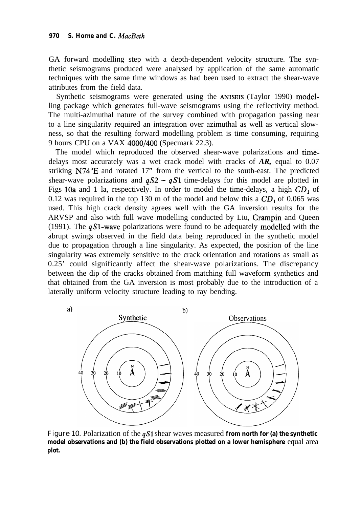GA forward modelling step with a depth-dependent velocity structure. The synthetic seismograms produced were analysed by application of the same automatic techniques with the same time windows as had been used to extract the shear-wave attributes from the field data.

Synthetic seismograms were generated using the ANISEIS (Taylor 1990) modelling package which generates full-wave seismograms using the reflectivity method. The multi-azimuthal nature of the survey combined with propagation passing near to a line singularity required an integration over azimuthal as well as vertical slowness, so that the resulting forward modelling problem is time consuming, requiring 9 hours CPU on a VAX 4000/400 (Specmark 22.3).

The model which reproduced the observed shear-wave polarizations and timedelays most accurately was a wet crack model with cracks of *AR,* equal to 0.07 striking N74"E and rotated 17" from the vertical to the south-east. The predicted shear-wave polarizations and  $qS2 - qS1$  time-delays for this model are plotted in Figs 10a and 1 la, respectively. In order to model the time-delays, a high  $CD<sub>1</sub>$  of 0.12 was required in the top 130 m of the model and below this a  $CD_1$  of 0.065 was used. This high crack density agrees well with the GA inversion results for the ARVSP and also with full wave modelling conducted by Liu, Crampin and Queen (1991). The  $qS1$ -wave polarizations were found to be adequately modelled with the abrupt swings observed in the field data being reproduced in the synthetic model due to propagation through a line singularity. As expected, the position of the line singularity was extremely sensitive to the crack orientation and rotations as small as 0.25' could significantly affect the shear-wave polarizations. The discrepancy between the dip of the cracks obtained from matching full waveform synthetics and that obtained from the GA inversion is most probably due to the introduction of a laterally uniform velocity structure leading to ray bending.



Figure 10. Polarization of the **qS1** shear waves measured **from north for (a) the synthetic model observations and (b) the field observations plotted on a lower hemisphere** equal area **plot.**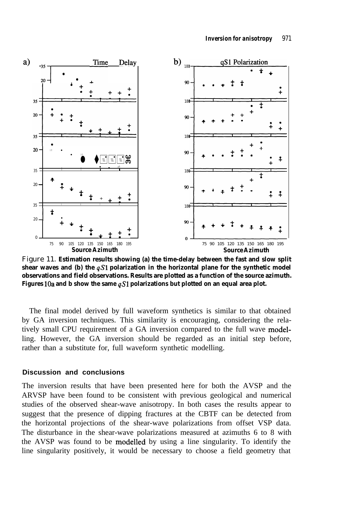

Figure 11. **Estimation results showing (a) the time-delay between the fast and slow split shear waves and (b) the qS1 polarization in the horizontal plane for the synthetic model observations and field observations. Results are plotted as a function of the source azimuth.** Figures 10a and b show the same  $qS1$  polarizations but plotted on an equal area plot.

The final model derived by full waveform synthetics is similar to that obtained by GA inversion techniques. This similarity is encouraging, considering the relatively small CPU requirement of a GA inversion compared to the full wave modelling. However, the GA inversion should be regarded as an initial step before, rather than a substitute for, full waveform synthetic modelling.

#### **Discussion and conclusions**

The inversion results that have been presented here for both the AVSP and the ARVSP have been found to be consistent with previous geological and numerical studies of the observed shear-wave anisotropy. In both cases the results appear to suggest that the presence of dipping fractures at the CBTF can be detected from the horizontal projections of the shear-wave polarizations from offset VSP data. The disturbance in the shear-wave polarizations measured at azimuths 6 to 8 with the AVSP was found to be modelled by using a line singularity. To identify the line singularity positively, it would be necessary to choose a field geometry that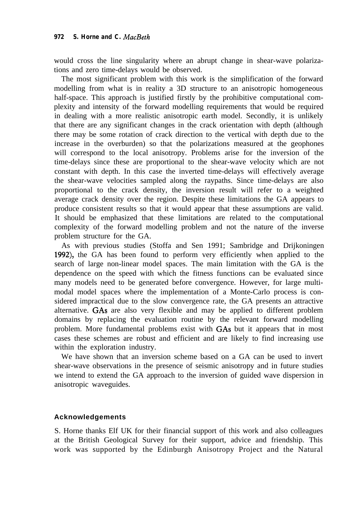would cross the line singularity where an abrupt change in shear-wave polarizations and zero time-delays would be observed.

The most significant problem with this work is the simplification of the forward modelling from what is in reality a 3D structure to an anisotropic homogeneous half-space. This approach is justified firstly by the prohibitive computational complexity and intensity of the forward modelling requirements that would be required in dealing with a more realistic anisotropic earth model. Secondly, it is unlikely that there are any significant changes in the crack orientation with depth (although there may be some rotation of crack direction to the vertical with depth due to the increase in the overburden) so that the polarizations measured at the geophones will correspond to the local anisotropy. Problems arise for the inversion of the time-delays since these are proportional to the shear-wave velocity which are not constant with depth. In this case the inverted time-delays will effectively average the shear-wave velocities sampled along the raypaths. Since time-delays are also proportional to the crack density, the inversion result will refer to a weighted average crack density over the region. Despite these limitations the GA appears to produce consistent results so that it would appear that these assumptions are valid. It should be emphasized that these limitations are related to the computational complexity of the forward modelling problem and not the nature of the inverse problem structure for the GA.

As with previous studies (Stoffa and Sen 1991; Sambridge and Drijkoningen 1992), the GA has been found to perform very efficiently when applied to the search of large non-linear model spaces. The main limitation with the GA is the dependence on the speed with which the fitness functions can be evaluated since many models need to be generated before convergence. However, for large multimodal model spaces where the implementation of a Monte-Carlo process is considered impractical due to the slow convergence rate, the GA presents an attractive alternative. GAS are also very flexible and may be applied to different problem domains by replacing the evaluation routine by the relevant forward modelling problem. More fundamental problems exist with GAS but it appears that in most cases these schemes are robust and efficient and are likely to find increasing use within the exploration industry.

We have shown that an inversion scheme based on a GA can be used to invert shear-wave observations in the presence of seismic anisotropy and in future studies we intend to extend the GA approach to the inversion of guided wave dispersion in anisotropic waveguides.

## **Acknowledgements**

S. Horne thanks Elf UK for their financial support of this work and also colleagues at the British Geological Survey for their support, advice and friendship. This work was supported by the Edinburgh Anisotropy Project and the Natural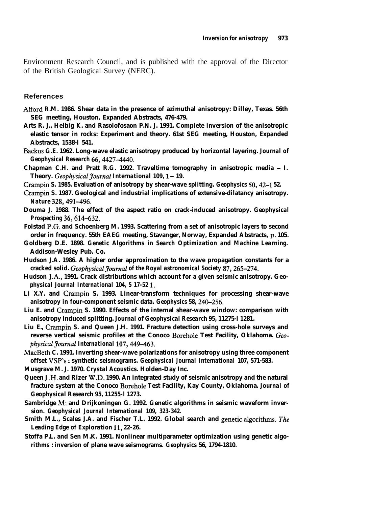Environment Research Council, and is published with the approval of the Director of the British Geological Survey (NERC).

#### **References**

- **Alford R.M. 1986. Shear data in the presence of azimuthal anisotropy: Dilley, Texas. 56th SEG meeting, Houston, Expanded Abstracts, 476-479.**
- **Arts R. J., Helbig K. and Rasolofosaon P.N. J. 1991. Complete inversion of the anisotropic elastic tensor in rocks: Experiment and theory. 61st SEG meeting, Houston, Expanded Abstracts, 1538-l 541.**
- **Backus G.E. 1962. Long-wave elastic anisotropy produced by horizontal layering.** *Journal of Geophysical Research 66,4427-4440.*
- **Chapman C.H. and Pratt R.G. 1992. Traveltime tomography in anisotropic media I. Theory.** *GeophysicalJournal International 109, 1 -* **19.**
- **Crampin S. 1985. Evaluation of anisotropy by shear-wave splitting.** *Geophysics 50,42-l* **52.**
- **Crampin S. 1987. Geological and industrial implications of extensive-dilatancy anisotropy.** *Nature 328,491-496.*
- **Douma J. 1988. The effect of the aspect ratio on crack-induced anisotropy.** *Geophysical Prospecting 36,614-632.*
- **Folstad P.G. and Schoenberg M. 1993. Scattering from a set of anisotropic layers to second order in frequency. 55th EAEG meeting, Stavanger, Norway, Expanded Abstracts, p. 105.**
- **Goldberg D.E. 1898.** *Genetic Algorithms in Search Optimization and Machine Learning.* **Addison-Wesley Pub. Co.**
- **Hudson J.A. 1986. A higher order approximation to the wave propagation constants for a** cracked solid. *Geophysical Journal of the Royal astronomical Society 87, 265-274.*
- Hudson J.A., 1991. Crack distributions which account for a given seismic anisotropy. Geo*physical Journal International 104, 5 17-52 1.*
- **Li X.Y. and Crampin S. 1993. Linear-transform techniques for processing shear-wave anisotropy in four-component seismic data.** *Geophysics 58, 240-256.*
- **Liu E. and Crampin S. 1990. Effects of the internal shear-wave window: comparison with anisotropy induced splitting.** *Journal of Geophysical Research 95,* **11275-l 1281.**
- **Liu E., Crampin S. and Queen J.H. 1991. Fracture detection using cross-hole surveys and reverse vertical seismic profiles at the Conoco Borehole Test Facility, Oklahoma. Geo***physicalJournal International 107,449-463.*
- **MacBeth C. 1991. Inverting shear-wave polarizations for anisotropy using three component offset VSP's : synthetic seismograms.** *Geophysical Journal International* **107, 571-583.**

**Musgrave M. J. 1970.** *Crystal Acoustics.* **Holden-Day Inc.**

- **Queen J .H. and Rizer W.D. 1990. An integrated study of seismic anisotropy and the natural fracture system at the Conoco Borehole Test Facility, Kay County, Oklahoma.** *Journal of Geophysical Research 95, 11255-l 1273.*
- **Sambridge M: and Drijkoningen G. 1992. Genetic algorithms in seismic waveform inversion.** *Geophysical Journal International 109, 323-342.*
- **Smith M.L., Scales J.A. and Fischer T.L. 1992. Global search and genetic algorithms. The** *Leading Edge of Exploration 11, 22-26.*
- **Stoffa P.L. and Sen M.K. 1991. Nonlinear multiparameter optimization using genetic algorithms : inversion of plane wave seismograms.** *Geophysics* **56, 1794-1810.**